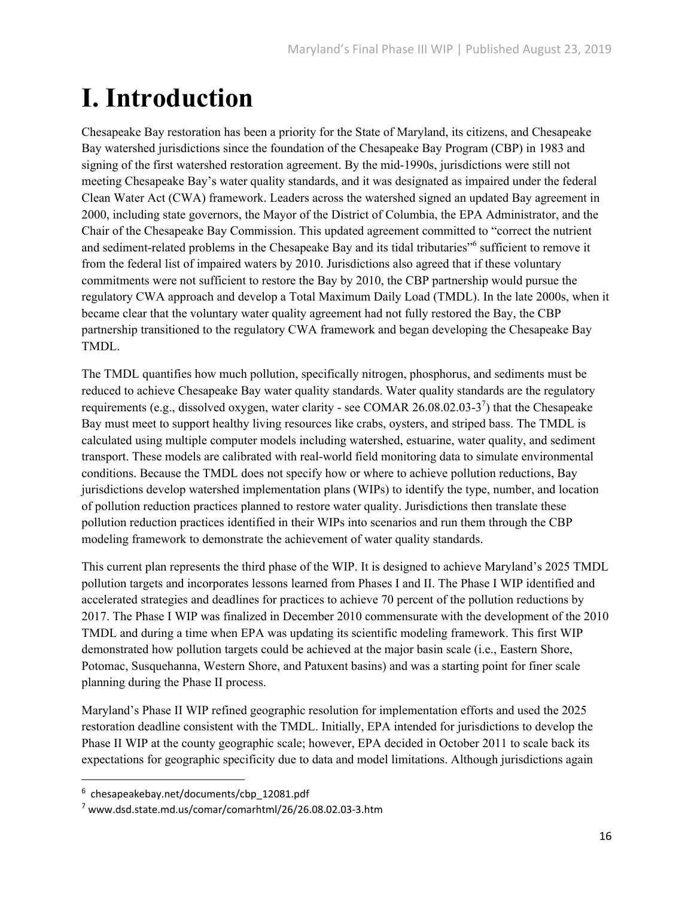## **I. Introduction**

Chesapeake Bay restoration has been a priority for the State of Maryland, its citizens, and Chesapeake Bay watershed jurisdictions since the foundation of the Chesapeake Bay Program (CBP) in 1983 and signing of the first watershed restoration agreement. By the mid-1990s, jurisdictions were still not meeting Chesapeake Bay's water quality standards, and it was designated as impaired under the federal Clean Water Act (CWA) framework. Leaders across the watershed signed an updated Bay agreement in 2000, including state governors, the Mayor of the District of Columbia, the EPA Administrator, and the Chair of the Chesapeake Bay Commission. This updated agreement committed to "correct the nutrient and sediment-related problems in the Chesapeake Bay and its tidal tributaries"<sup>6</sup> sufficient to remove it from the federal list of impaired waters by 2010. Jurisdictions also agreed that if these voluntary commitments were not sufficient to restore the Bay by 2010, the CBP partnership would pursue the regulatory CWA approach and develop a Total Maximum Daily Load (TMDL). In the late 2000s, when it became clear that the voluntary water quality agreement had not fully restored the Bay, the CBP partnership transitioned to the regulatory CWA framework and began developing the Chesapeake Bay TMDL.

The TMDL quantifies how much pollution, specifically nitrogen, phosphorus, and sediments must be reduced to achieve Chesapeake Bay water quality standards. Water quality standards are the regulatory requirements (e.g., dissolved oxygen, water clarity - see COMAR 26.08.02.03-3<sup>7</sup>) that the Chesapeake Bay must meet to support healthy living resources like crabs, oysters, and striped bass. The TMDL is calculated using multiple computer models including watershed, estuarine, water quality, and sediment transport. These models are calibrated with real-world field monitoring data to simulate environmental conditions. Because the TMDL does not specify how or where to achieve pollution reductions, Bay jurisdictions develop watershed implementation plans (WIPs) to identify the type, number, and location of pollution reduction practices planned to restore water quality. Jurisdictions then translate these pollution reduction practices identified in their WIPs into scenarios and run them through the CBP modeling framework to demonstrate the achievement of water quality standards.

This current plan represents the third phase of the WIP. It is designed to achieve Maryland's 2025 TMDL pollution targets and incorporates lessons learned from Phases I and II. The Phase I WIP identified and accelerated strategies and deadlines for practices to achieve 70 percent of the pollution reductions by 2017. The Phase I WIP was finalized in December 2010 commensurate with the development of the 2010 TMDL and during a time when EPA was updating its scientific modeling framework. This first WIP demonstrated how pollution targets could be achieved at the major basin scale (i.e., Eastern Shore, Potomac, Susquehanna, Western Shore, and Patuxent basins) and was a starting point for finer scale planning during the Phase II process.

Maryland's Phase II WIP refined geographic resolution for implementation efforts and used the 2025 restoration deadline consistent with the TMDL. Initially, EPA intended for jurisdictions to develop the Phase II WIP at the county geographic scale; however, EPA decided in October 2011 to scale back its expectations for geographic specificity due to data and model limitations. Although jurisdictions again

<sup>6</sup> chesapeakebay.net/documents/cbp\_12081.pdf

 $7$  www.dsd.state.md.us/comar/comarhtml/26/26.08.02.03-3.htm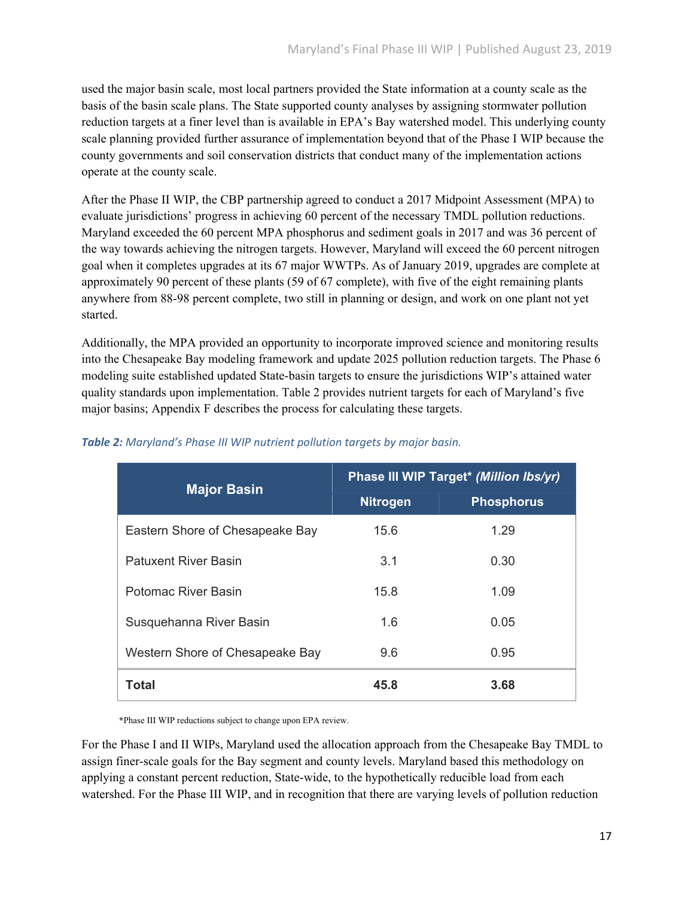used the major basin scale, most local partners provided the State information at a county scale as the basis of the basin scale plans. The State supported county analyses by assigning stormwater pollution reduction targets at a finer level than is available in EPA's Bay watershed model. This underlying county scale planning provided further assurance of implementation beyond that of the Phase I WIP because the county governments and soil conservation districts that conduct many of the implementation actions operate at the county scale.

After the Phase II WIP, the CBP partnership agreed to conduct a 2017 Midpoint Assessment (MPA) to evaluate jurisdictions' progress in achieving 60 percent of the necessary TMDL pollution reductions. Maryland exceeded the 60 percent MPA phosphorus and sediment goals in 2017 and was 36 percent of the way towards achieving the nitrogen targets. However, Maryland will exceed the 60 percent nitrogen goal when it completes upgrades at its 67 major WWTPs. As of January 2019, upgrades are complete at approximately 90 percent of these plants (59 of 67 complete), with five of the eight remaining plants anywhere from 88-98 percent complete, two still in planning or design, and work on one plant not yet started.

Additionally, the MPA provided an opportunity to incorporate improved science and monitoring results into the Chesapeake Bay modeling framework and update 2025 pollution reduction targets. The Phase 6 modeling suite established updated State-basin targets to ensure the jurisdictions WIP's attained water quality standards upon implementation. Table 2 provides nutrient targets for each of Maryland's five major basins; Appendix F describes the process for calculating these targets.

| <b>Major Basin</b>              | <b>Phase III WIP Target* (Million Ibs/yr)</b> |                   |
|---------------------------------|-----------------------------------------------|-------------------|
|                                 | <b>Nitrogen</b>                               | <b>Phosphorus</b> |
| Eastern Shore of Chesapeake Bay | 15.6                                          | 1.29              |
| <b>Patuxent River Basin</b>     | 3.1                                           | 0.30              |
| Potomac River Basin             | 15.8                                          | 1.09              |
| Susquehanna River Basin         | 1.6                                           | 0.05              |
| Western Shore of Chesapeake Bay | 9.6                                           | 0.95              |
| <b>Total</b>                    | 45.8                                          | 3.68              |

## *Table 2: Maryland's Phase III WIP nutrient pollution targets by major basin.*

**\***Phase III WIP reductions subject to change upon EPA review.

For the Phase I and II WIPs, Maryland used the allocation approach from the Chesapeake Bay TMDL to assign finer-scale goals for the Bay segment and county levels. Maryland based this methodology on applying a constant percent reduction, State-wide, to the hypothetically reducible load from each watershed. For the Phase III WIP, and in recognition that there are varying levels of pollution reduction